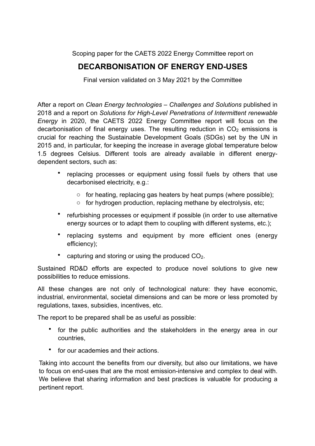Scoping paper for the CAETS 2022 Energy Committee report on

## **DECARBONISATION OF ENERGY END-USES**

Final version validated on 3 May 2021 by the Committee

After a report on *Clean Energy technologies – Challenges and Solutions* published in 2018 and a report on *Solutions for High-Level Penetrations of Intermittent renewable Energy* in 2020, the CAETS 2022 Energy Committee report will focus on the decarbonisation of final energy uses. The resulting reduction in  $CO<sub>2</sub>$  emissions is crucial for reaching the Sustainable Development Goals (SDGs) set by the UN in 2015 and, in particular, for keeping the increase in average global temperature below 1.5 degrees Celsius. Different tools are already available in different energydependent sectors, such as:

- replacing processes or equipment using fossil fuels by others that use decarbonised electricity, e.g.:
	- o for heating, replacing gas heaters by heat pumps (where possible);
	- o for hydrogen production, replacing methane by electrolysis, etc;
- refurbishing processes or equipment if possible (in order to use alternative energy sources or to adapt them to coupling with different systems, etc.);
- replacing systems and equipment by more efficient ones (energy efficiency);
- capturing and storing or using the produced  $CO<sub>2</sub>$ .

Sustained RD&D efforts are expected to produce novel solutions to give new possibilities to reduce emissions.

All these changes are not only of technological nature: they have economic, industrial, environmental, societal dimensions and can be more or less promoted by regulations, taxes, subsidies, incentives, etc.

The report to be prepared shall be as useful as possible:

- for the public authorities and the stakeholders in the energy area in our countries,
- for our academies and their actions.

Taking into account the benefits from our diversity, but also our limitations, we have to focus on end-uses that are the most emission-intensive and complex to deal with. We believe that sharing information and best practices is valuable for producing a pertinent report.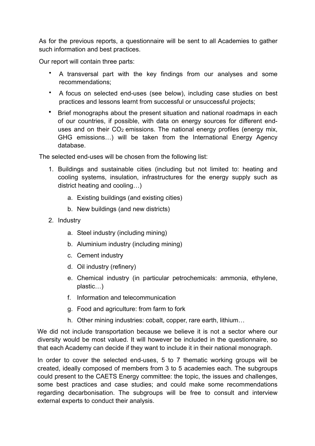As for the previous reports, a questionnaire will be sent to all Academies to gather such information and best practices.

Our report will contain three parts:

- A transversal part with the key findings from our analyses and some recommendations;
- A focus on selected end-uses (see below), including case studies on best practices and lessons learnt from successful or unsuccessful projects;
- Brief monographs about the present situation and national roadmaps in each of our countries, if possible, with data on energy sources for different enduses and on their  $CO<sub>2</sub>$  emissions. The national energy profiles (energy mix, GHG emissions…) will be taken from the International Energy Agency database.

The selected end-uses will be chosen from the following list:

- 1. Buildings and sustainable cities (including but not limited to: heating and cooling systems, insulation, infrastructures for the energy supply such as district heating and cooling…)
	- a. Existing buildings (and existing cities)
	- b. New buildings (and new districts)
- 2. Industry
	- a. Steel industry (including mining)
	- b. Aluminium industry (including mining)
	- c. Cement industry
	- d. Oil industry (refinery)
	- e. Chemical industry (in particular petrochemicals: ammonia, ethylene, plastic…)
	- f. Information and telecommunication
	- g. Food and agriculture: from farm to fork
	- h. Other mining industries: cobalt, copper, rare earth, lithium…

We did not include transportation because we believe it is not a sector where our diversity would be most valued. It will however be included in the questionnaire, so that each Academy can decide if they want to include it in their national monograph.

In order to cover the selected end-uses, 5 to 7 thematic working groups will be created, ideally composed of members from 3 to 5 academies each. The subgroups could present to the CAETS Energy committee: the topic, the issues and challenges, some best practices and case studies; and could make some recommendations regarding decarbonisation. The subgroups will be free to consult and interview external experts to conduct their analysis.